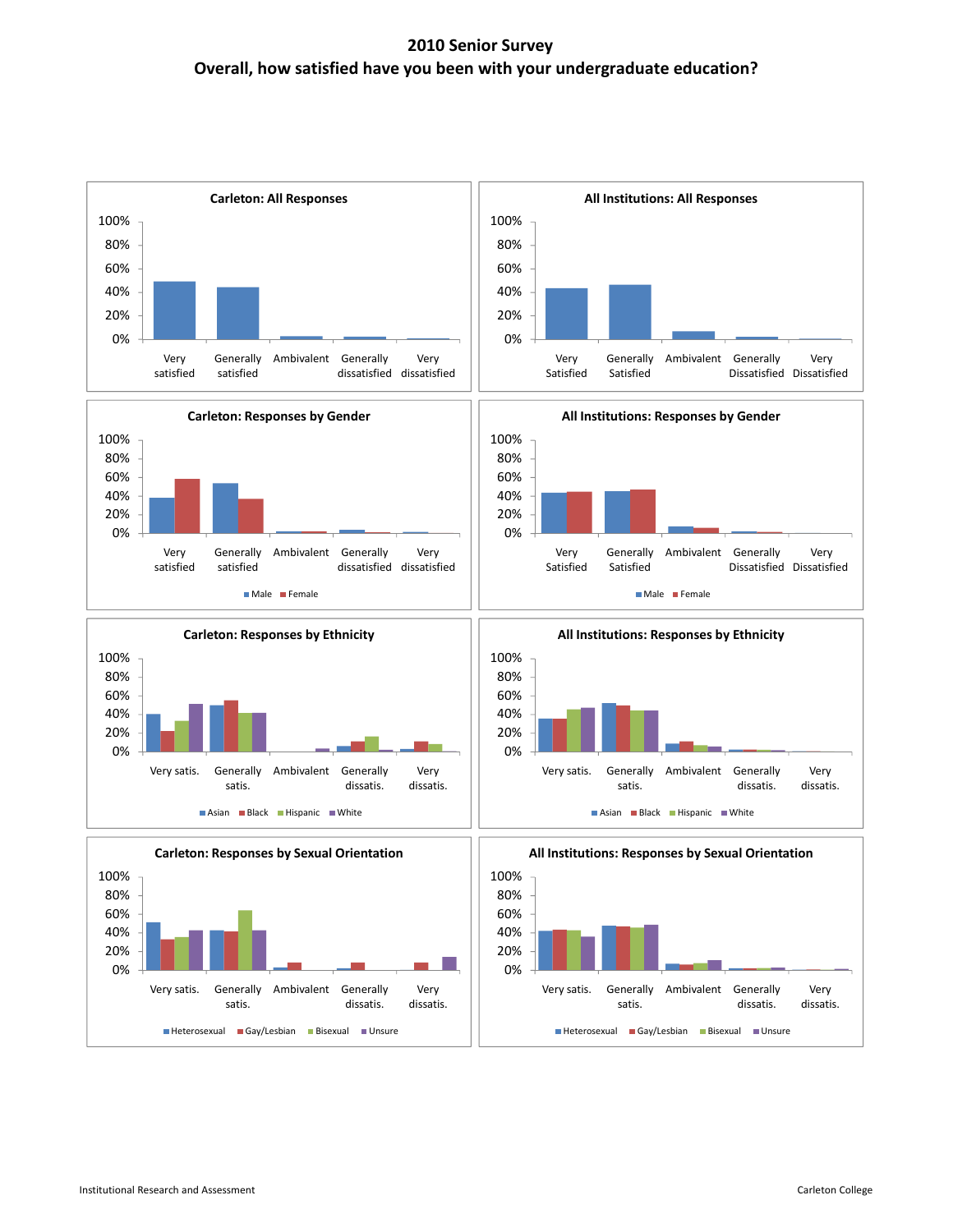## **2010 Senior Survey Overall, how satisfied have you been with your undergraduate education?**